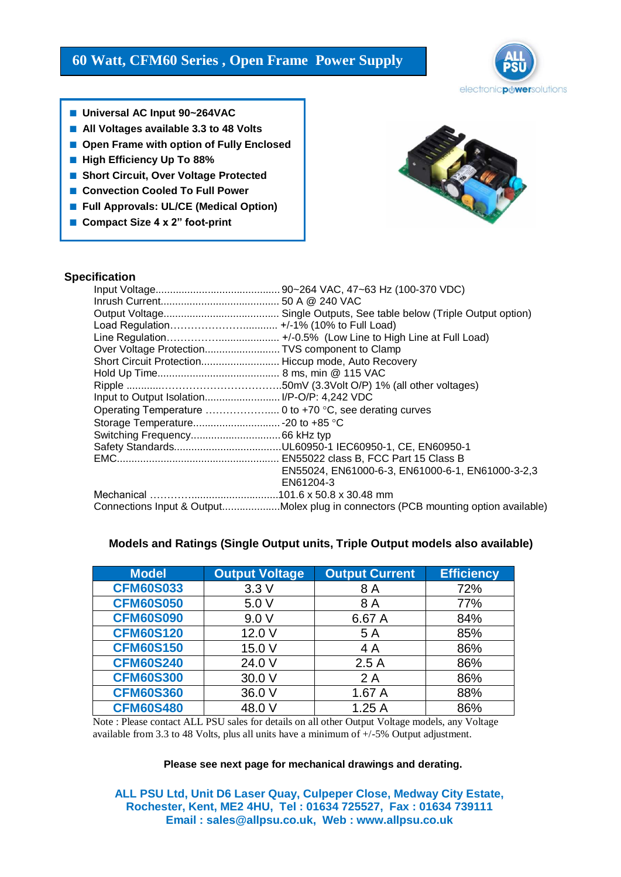# **60 Watt, CFM60 Series , Open Frame Power Supply**



- **Universal AC Input 90~264VAC**
- **All Voltages available 3.3 to 48 Volts**
- Open Frame with option of Fully Enclosed
- **High Efficiency Up To 88%**
- **Short Circuit, Over Voltage Protected**
- **Convection Cooled To Full Power**
- **Full Approvals: UL/CE (Medical Option)**
- **Compact Size 4 x 2**" **foot-print**



### **Specification**

| Over Voltage ProtectionTVS component to Clamp       |                                                                                    |  |  |
|-----------------------------------------------------|------------------------------------------------------------------------------------|--|--|
| Short Circuit Protection Hiccup mode, Auto Recovery |                                                                                    |  |  |
|                                                     |                                                                                    |  |  |
|                                                     |                                                                                    |  |  |
|                                                     |                                                                                    |  |  |
|                                                     |                                                                                    |  |  |
|                                                     |                                                                                    |  |  |
|                                                     |                                                                                    |  |  |
|                                                     |                                                                                    |  |  |
|                                                     |                                                                                    |  |  |
|                                                     | EN55024, EN61000-6-3, EN61000-6-1, EN61000-3-2,3                                   |  |  |
|                                                     | EN61204-3                                                                          |  |  |
|                                                     |                                                                                    |  |  |
|                                                     | Connections Input & OutputMolex plug in connectors (PCB mounting option available) |  |  |

| <b>Model</b>     | <b>Output Voltage</b> | <b>Output Current</b> | Efficiency |
|------------------|-----------------------|-----------------------|------------|
| <b>CFM60S033</b> | 3.3V                  | 8 A                   | 72%        |
| <b>CFM60S050</b> | 5.0 V                 | 8 A                   | 77%        |
| <b>CFM60S090</b> | 9.0V                  | 6.67 A                | 84%        |
| <b>CFM60S120</b> | 12.0 V                | 5 A                   | 85%        |
| <b>CFM60S150</b> | 15.0 V                | 4 A                   | 86%        |
| <b>CFM60S240</b> | 24.0 V                | 2.5A                  | 86%        |
| <b>CFM60S300</b> | 30.0 V                | 2A                    | 86%        |
| <b>CFM60S360</b> | 36.0 V                | 1.67 A                | 88%        |
| <b>CFM60S480</b> | 48.0 V                | 1.25A                 | 86%        |

# **Models and Ratings (Single Output units, Triple Output models also available)**

Note : Please contact ALL PSU sales for details on all other Output Voltage models, any Voltage available from 3.3 to 48 Volts, plus all units have a minimum of +/-5% Output adjustment.

#### **Please see next page for mechanical drawings and derating.**

**ALL PSU Ltd, Unit D6 Laser Quay, Culpeper Close, Medway City Estate, Rochester, Kent, ME2 4HU, Tel : 01634 725527, Fax : 01634 739111 Email : sales@allpsu.co.uk, Web : www.allpsu.co.uk**